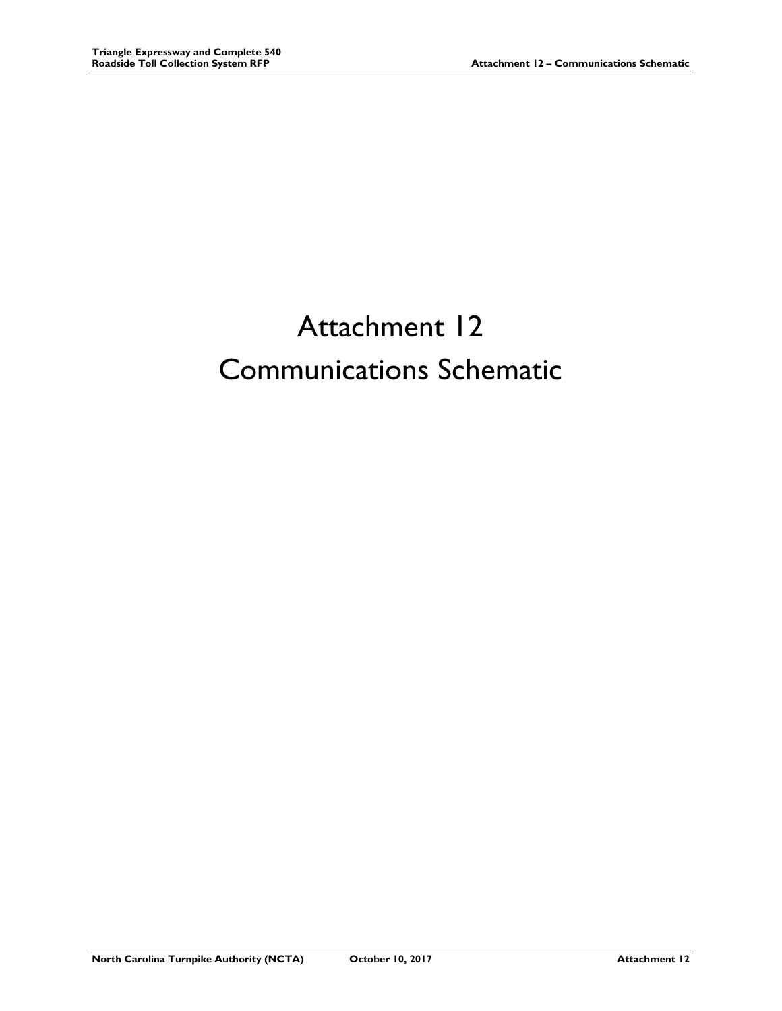## Attachment 12 Communications Schematic